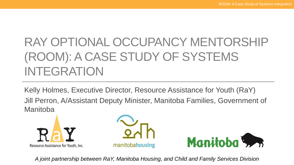# RAY OPTIONAL OCCUPANCY MENTORSHIP (ROOM): A CASE STUDY OF SYSTEMS INTEGRATION

Kelly Holmes, Executive Director, Resource Assistance for Youth (RaY) Jill Perron, A/Assistant Deputy Minister, Manitoba Families, Government of **Manitoba** 







*A joint partnership between RaY, Manitoba Housing, and Child and Family Services Division*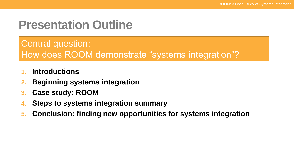## **Presentation Outline**

### Central question: How does ROOM demonstrate "systems integration"?

- **1. Introductions**
- **2. Beginning systems integration**
- **3. Case study: ROOM**
- **4. Steps to systems integration summary**
- **5. Conclusion: finding new opportunities for systems integration**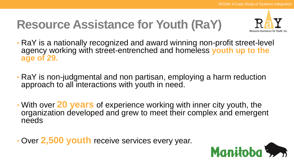# **Resource Assistance for Youth (RaY)**



- RaY is a nationally recognized and award winning non-profit street-level agency working with street-entrenched and homeless **youth up to the age of 29.**
- RaY is non-judgmental and non partisan, employing a harm reduction approach to all interactions with youth in need.
- With over **20 years** of experience working with inner city youth, the organization developed and grew to meet their complex and emergent needs
- Over **2,500 youth** receive services every year.

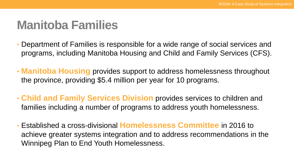## **Manitoba Families**

- Department of Families is responsible for a wide range of social services and programs, including Manitoba Housing and Child and Family Services (CFS).
- **Manitoba Housing** provides support to address homelessness throughout the province, providing \$5.4 million per year for 10 programs.
- **Child and Family Services Division** provides services to children and families including a number of programs to address youth homelessness.
- Established a cross-divisional **Homelessness Committee** in 2016 to achieve greater systems integration and to address recommendations in the Winnipeg Plan to End Youth Homelessness.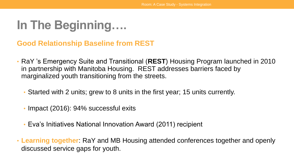## **In The Beginning….**

#### **Good Relationship Baseline from REST**

- RaY 's Emergency Suite and Transitional (**REST**) Housing Program launched in 2010 in partnership with Manitoba Housing. REST addresses barriers faced by marginalized youth transitioning from the streets.
	- Started with 2 units; grew to 8 units in the first year; 15 units currently.
	- Impact (2016): 94% successful exits
	- Eva's Initiatives National Innovation Award (2011) recipient
- **Learning together**: RaY and MB Housing attended conferences together and openly discussed service gaps for youth.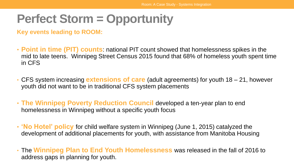## **Perfect Storm = Opportunity**

**Key events leading to ROOM:**

- **Point in time (PIT) counts**: national PIT count showed that homelessness spikes in the mid to late teens. Winnipeg Street Census 2015 found that 68% of homeless youth spent time in CFS
- CFS system increasing **extensions of care** (adult agreements) for youth 18 21, however youth did not want to be in traditional CFS system placements
- **The Winnipeg Poverty Reduction Council** developed a ten-year plan to end homelessness in Winnipeg without a specific youth focus
- **'No Hotel' policy** for child welfare system in Winnipeg (June 1, 2015) catalyzed the development of additional placements for youth, with assistance from Manitoba Housing
- The **Winnipeg Plan to End Youth Homelessness** was released in the fall of 2016 to address gaps in planning for youth.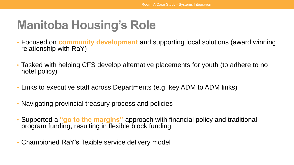## **Manitoba Housing's Role**

- Focused on **community development** and supporting local solutions (award winning relationship with RaY)
- Tasked with helping CFS develop alternative placements for youth (to adhere to no hotel policy)
- Links to executive staff across Departments (e.g. key ADM to ADM links)
- Navigating provincial treasury process and policies
- Supported a **"go to the margins"** approach with financial policy and traditional program funding, resulting in flexible block funding
- Championed RaY's flexible service delivery model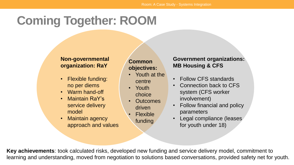## **Coming Together: ROOM**

#### **Non-governmental organization: RaY**

- Flexible funding: no per diems
- Warm hand-off
- Maintain RaY's service delivery model
- Maintain agency approach and values

#### **Common objectives:**

- Youth at the centre
- Youth choice
- Outcomes driven
	- Flexible funding

#### **Government organizations: MB Housing & CFS**

- Follow CFS standards
- Connection back to CFS system (CFS worker involvement)
- Follow financial and policy parameters
- Legal compliance (leases for youth under 18)

**Key achievements**: took calculated risks, developed new funding and service delivery model, commitment to learning and understanding, moved from negotiation to solutions based conversations, provided safety net for youth.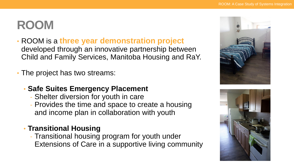## **ROOM**

- ROOM is a **three year demonstration project**  developed through an innovative partnership between Child and Family Services, Manitoba Housing and RaY.
- The project has two streams:
	- **Safe Suites Emergency Placement**
		- Shelter diversion for youth in care
		- Provides the time and space to create a housing and income plan in collaboration with youth

### • **Transitional Housing**

- Transitional housing program for youth under Extensions of Care in a supportive living community



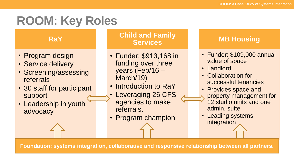## **ROOM: Key Roles**

**RaY**

- Program design
- Service delivery
- Screening/assessing referrals
- 30 staff for participant support
- Leadership in youth advocacy

#### **Child and Family Services**

- Funder: \$913,168 in funding over three years (Feb/16 – March/19)
- Introduction to RaY
- Leveraging 26 CFS agencies to make referrals.
- Program champion

#### **MB Housing**

- Funder: \$109,000 annual value of space
- Landlord
- Collaboration for successful tenancies
- Provides space and
	- property management for
- 12 studio units and one admin. suite
- Leading systems integration

**Foundation: systems integration, collaborative and responsive relationship between all partners.**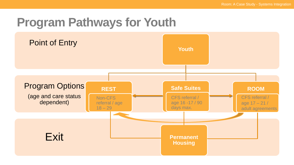## **Program Pathways for Youth**

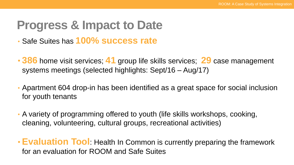## **Progress & Impact to Date**

- Safe Suites has **100% success rate**
- **386** home visit services; **41** group life skills services; **29** case management systems meetings (selected highlights: Sept/16 – Aug/17)
- Apartment 604 drop-in has been identified as a great space for social inclusion for youth tenants
- A variety of programming offered to youth (life skills workshops, cooking, cleaning, volunteering, cultural groups, recreational activities)
- **Evaluation Tool**: Health In Common is currently preparing the framework for an evaluation for ROOM and Safe Suites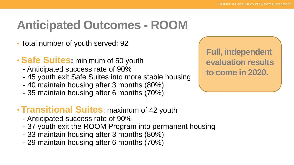# **Anticipated Outcomes - ROOM**

- Total number of youth served: 92
- **Safe Suites:** minimum of 50 youth
	- Anticipated success rate of 90%
	- 45 youth exit Safe Suites into more stable housing
	- 40 maintain housing after 3 months (80%)
	- 35 maintain housing after 6 months (70%)

### • **Transitional Suites**: maximum of 42 youth

- Anticipated success rate of 90%
- 37 youth exit the ROOM Program into permanent housing
- 33 maintain housing after 3 months (80%)
- 29 maintain housing after 6 months (70%)

**Full, independent evaluation results to come in 2020.**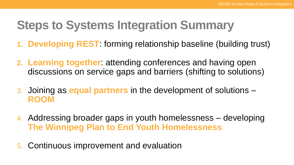## **Steps to Systems Integration Summary**

- **1. Developing REST**: forming relationship baseline (building trust)
- **2. Learning together**: attending conferences and having open discussions on service gaps and barriers (shifting to solutions)
- 3. Joining as **equal partners** in the development of solutions **ROOM**
- 4. Addressing broader gaps in youth homelessness developing **The Winnipeg Plan to End Youth Homelessness**
- 5. Continuous improvement and evaluation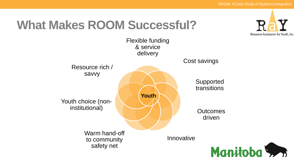## **What Makes ROOM Successful?**



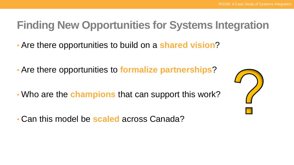### **Finding New Opportunities for Systems Integration**

- Are there opportunities to build on a **shared vision**?
- Are there opportunities to **formalize partnerships**?
- Who are the **champions** that can support this work?
- Can this model be **scaled** across Canada?

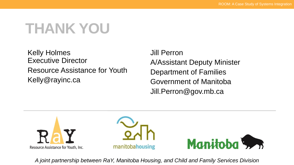# **THANK YOU**

Kelly Holmes Executive Director Resource Assistance for Youth Kelly@rayinc.ca

Jill Perron A/Assistant Deputy Minister Department of Families Government of Manitoba Jill.Perron@gov.mb.ca



*A joint partnership between RaY, Manitoba Housing, and Child and Family Services Division*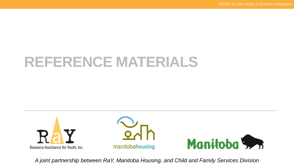# **REFERENCE MATERIALS**



*A joint partnership between RaY, Manitoba Housing, and Child and Family Services Division*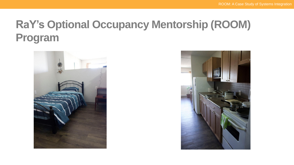### **RaY's Optional Occupancy Mentorship (ROOM) Program**



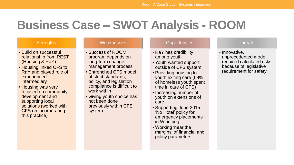## **Business Case – SWOT Analysis - ROOM**

#### **Strengths**

- Build on successful relationship from REST (Housing & RaY)
- Housing linked CFS to RaY and played role of experienced intermediary
- Housing was very focused on community development and supporting local solutions (worked with CFS on incorporating this practice)

#### **Weaknesses**

- Success of ROOM program depends on long-term change management process
- Entrenched CFS model of strict standards, policy, and legislation compliance is difficult to work within
- Giving youth choice has not been done previously within CFS system.

#### **Opportunities**

- RaY has credibility among youth
- Youth wanted support outside of CFS system
- Providing housing to youth exiting care (68% of homeless youth spent time in care of CFS)
- Increasing number of youth on extensions of care
- Supporting June 2015 'No Hotel' policy for emergency placements in Winnipeg.
- Working 'near the margins' of financial and policy parameters

#### **Threats**

• Innovative, unprecedented model required calculated risks because of legislative requirement for safety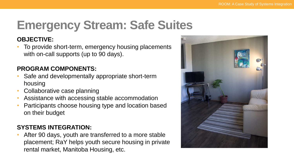# **Emergency Stream: Safe Suites**

#### **OBJECTIVE:**

• To provide short-term, emergency housing placements with on-call supports (up to 90 days).

#### **PROGRAM COMPONENTS:**

- Safe and developmentally appropriate short-term housing
- Collaborative case planning
- Assistance with accessing stable accommodation
- Participants choose housing type and location based on their budget

#### **SYSTEMS INTEGRATION:**

After 90 days, youth are transferred to a more stable placement; RaY helps youth secure housing in private rental market, Manitoba Housing, etc.